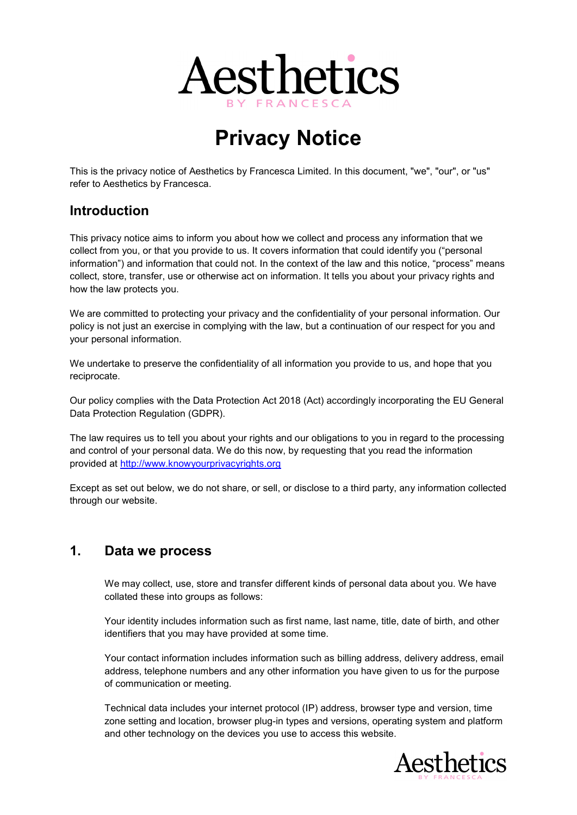

# Privacy Notice

This is the privacy notice of Aesthetics by Francesca Limited. In this document, "we", "our", or "us" refer to Aesthetics by Francesca.

#### Introduction

This privacy notice aims to inform you about how we collect and process any information that we collect from you, or that you provide to us. It covers information that could identify you ("personal information") and information that could not. In the context of the law and this notice, "process" means collect, store, transfer, use or otherwise act on information. It tells you about your privacy rights and how the law protects you.

We are committed to protecting your privacy and the confidentiality of your personal information. Our policy is not just an exercise in complying with the law, but a continuation of our respect for you and your personal information.

We undertake to preserve the confidentiality of all information you provide to us, and hope that you reciprocate.

Our policy complies with the Data Protection Act 2018 (Act) accordingly incorporating the EU General Data Protection Regulation (GDPR).

The law requires us to tell you about your rights and our obligations to you in regard to the processing and control of your personal data. We do this now, by requesting that you read the information provided at http://www.knowyourprivacyrights.org

Except as set out below, we do not share, or sell, or disclose to a third party, any information collected through our website.

#### 1. Data we process

We may collect, use, store and transfer different kinds of personal data about you. We have collated these into groups as follows:

Your identity includes information such as first name, last name, title, date of birth, and other identifiers that you may have provided at some time.

Your contact information includes information such as billing address, delivery address, email address, telephone numbers and any other information you have given to us for the purpose of communication or meeting.

Technical data includes your internet protocol (IP) address, browser type and version, time zone setting and location, browser plug-in types and versions, operating system and platform and other technology on the devices you use to access this website.

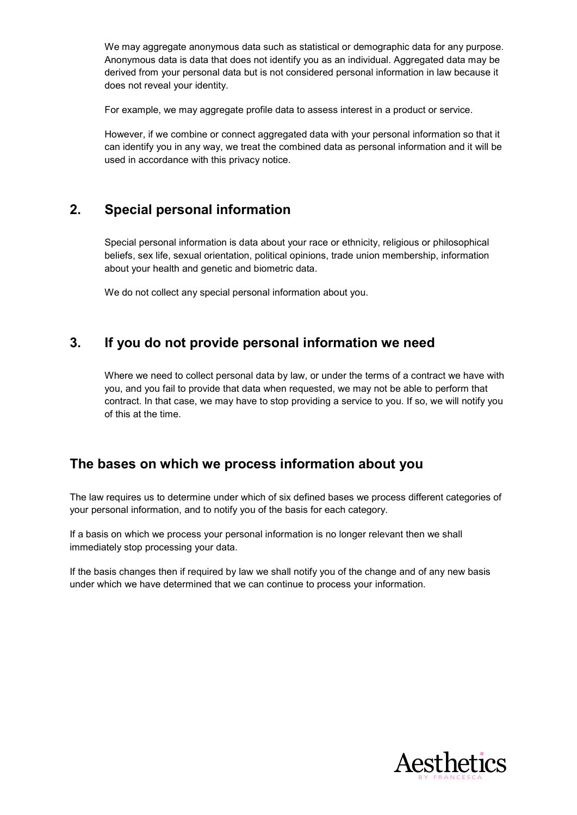We may aggregate anonymous data such as statistical or demographic data for any purpose. Anonymous data is data that does not identify you as an individual. Aggregated data may be derived from your personal data but is not considered personal information in law because it does not reveal your identity.

For example, we may aggregate profile data to assess interest in a product or service.

However, if we combine or connect aggregated data with your personal information so that it can identify you in any way, we treat the combined data as personal information and it will be used in accordance with this privacy notice.

#### 2. Special personal information

Special personal information is data about your race or ethnicity, religious or philosophical beliefs, sex life, sexual orientation, political opinions, trade union membership, information about your health and genetic and biometric data.

We do not collect any special personal information about you.

#### 3. If you do not provide personal information we need

Where we need to collect personal data by law, or under the terms of a contract we have with you, and you fail to provide that data when requested, we may not be able to perform that contract. In that case, we may have to stop providing a service to you. If so, we will notify you of this at the time.

#### The bases on which we process information about you

The law requires us to determine under which of six defined bases we process different categories of your personal information, and to notify you of the basis for each category.

If a basis on which we process your personal information is no longer relevant then we shall immediately stop processing your data.

If the basis changes then if required by law we shall notify you of the change and of any new basis under which we have determined that we can continue to process your information.

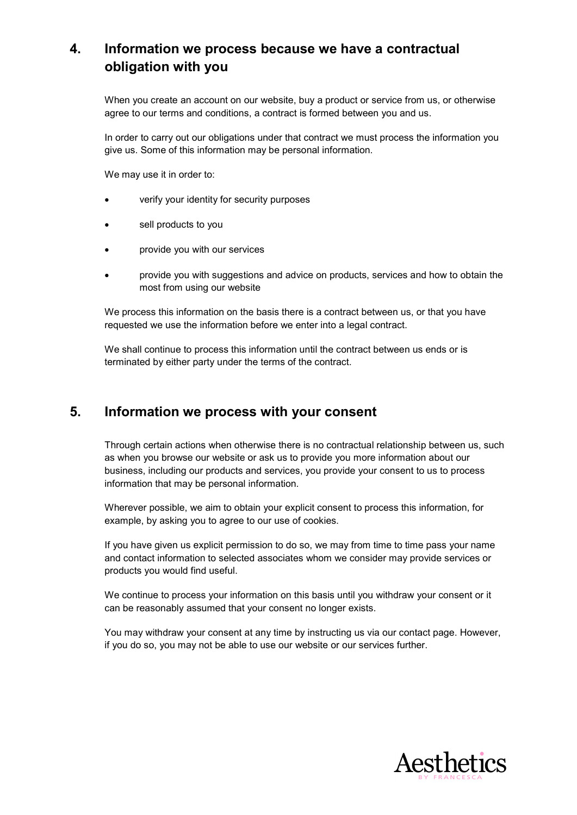# 4. Information we process because we have a contractual obligation with you

When you create an account on our website, buy a product or service from us, or otherwise agree to our terms and conditions, a contract is formed between you and us.

In order to carry out our obligations under that contract we must process the information you give us. Some of this information may be personal information.

We may use it in order to:

- verify your identity for security purposes
- sell products to you
- provide you with our services
- provide you with suggestions and advice on products, services and how to obtain the most from using our website

We process this information on the basis there is a contract between us, or that you have requested we use the information before we enter into a legal contract.

We shall continue to process this information until the contract between us ends or is terminated by either party under the terms of the contract.

#### 5. Information we process with your consent

Through certain actions when otherwise there is no contractual relationship between us, such as when you browse our website or ask us to provide you more information about our business, including our products and services, you provide your consent to us to process information that may be personal information.

Wherever possible, we aim to obtain your explicit consent to process this information, for example, by asking you to agree to our use of cookies.

If you have given us explicit permission to do so, we may from time to time pass your name and contact information to selected associates whom we consider may provide services or products you would find useful.

We continue to process your information on this basis until you withdraw your consent or it can be reasonably assumed that your consent no longer exists.

You may withdraw your consent at any time by instructing us via our contact page. However, if you do so, you may not be able to use our website or our services further.

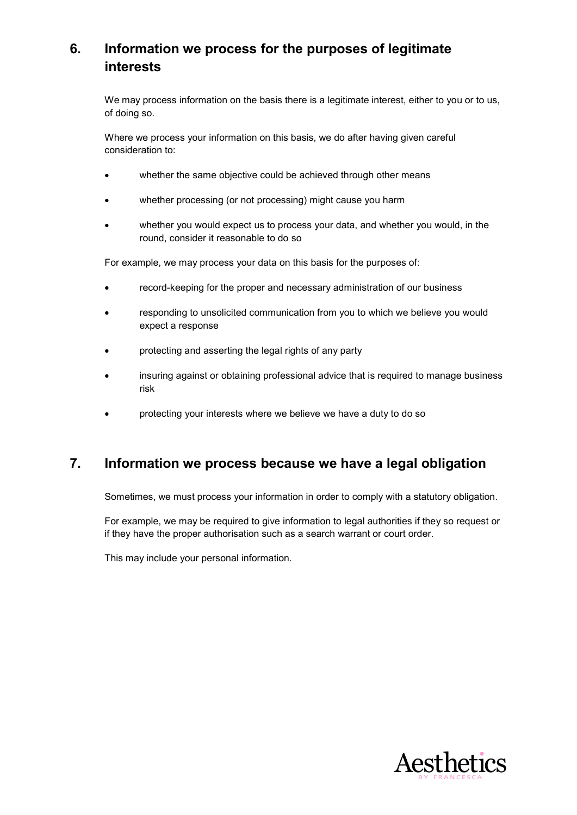# 6. Information we process for the purposes of legitimate interests

We may process information on the basis there is a legitimate interest, either to you or to us, of doing so.

Where we process your information on this basis, we do after having given careful consideration to:

- whether the same objective could be achieved through other means
- whether processing (or not processing) might cause you harm
- whether you would expect us to process your data, and whether you would, in the round, consider it reasonable to do so

For example, we may process your data on this basis for the purposes of:

- record-keeping for the proper and necessary administration of our business
- responding to unsolicited communication from you to which we believe you would expect a response
- protecting and asserting the legal rights of any party
- insuring against or obtaining professional advice that is required to manage business risk
- protecting your interests where we believe we have a duty to do so

## 7. Information we process because we have a legal obligation

Sometimes, we must process your information in order to comply with a statutory obligation.

For example, we may be required to give information to legal authorities if they so request or if they have the proper authorisation such as a search warrant or court order.

This may include your personal information.

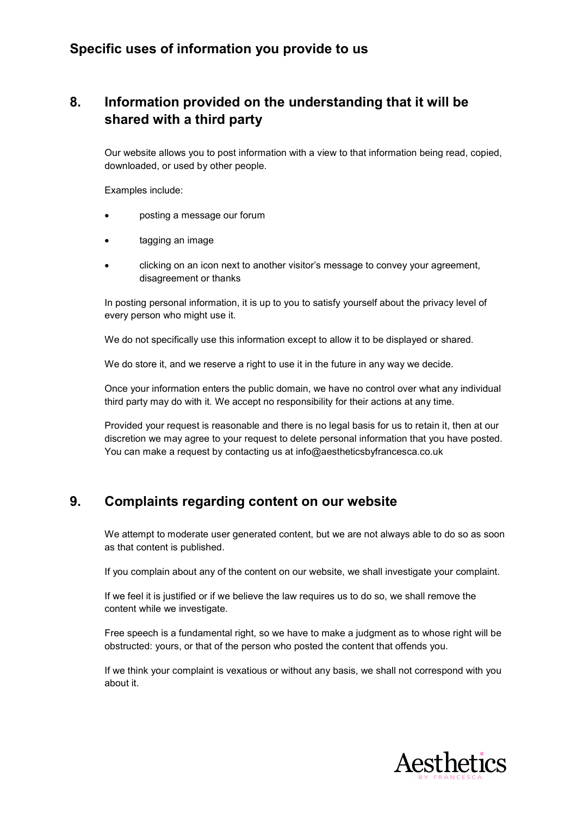## Specific uses of information you provide to us

# 8. Information provided on the understanding that it will be shared with a third party

Our website allows you to post information with a view to that information being read, copied, downloaded, or used by other people.

Examples include:

- posting a message our forum
- tagging an image
- clicking on an icon next to another visitor's message to convey your agreement, disagreement or thanks

In posting personal information, it is up to you to satisfy yourself about the privacy level of every person who might use it.

We do not specifically use this information except to allow it to be displayed or shared.

We do store it, and we reserve a right to use it in the future in any way we decide.

Once your information enters the public domain, we have no control over what any individual third party may do with it. We accept no responsibility for their actions at any time.

Provided your request is reasonable and there is no legal basis for us to retain it, then at our discretion we may agree to your request to delete personal information that you have posted. You can make a request by contacting us at info@aestheticsbyfrancesca.co.uk

## 9. Complaints regarding content on our website

We attempt to moderate user generated content, but we are not always able to do so as soon as that content is published.

If you complain about any of the content on our website, we shall investigate your complaint.

If we feel it is justified or if we believe the law requires us to do so, we shall remove the content while we investigate.

Free speech is a fundamental right, so we have to make a judgment as to whose right will be obstructed: yours, or that of the person who posted the content that offends you.

If we think your complaint is vexatious or without any basis, we shall not correspond with you about it.

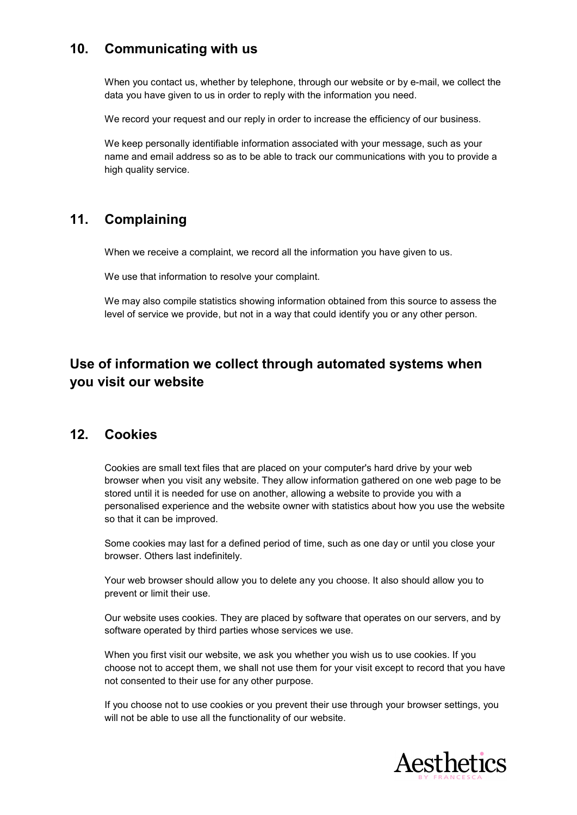# 10. Communicating with us

When you contact us, whether by telephone, through our website or by e-mail, we collect the data you have given to us in order to reply with the information you need.

We record your request and our reply in order to increase the efficiency of our business.

We keep personally identifiable information associated with your message, such as your name and email address so as to be able to track our communications with you to provide a high quality service.

## 11. Complaining

When we receive a complaint, we record all the information you have given to us.

We use that information to resolve your complaint.

We may also compile statistics showing information obtained from this source to assess the level of service we provide, but not in a way that could identify you or any other person.

# Use of information we collect through automated systems when you visit our website

#### 12. Cookies

Cookies are small text files that are placed on your computer's hard drive by your web browser when you visit any website. They allow information gathered on one web page to be stored until it is needed for use on another, allowing a website to provide you with a personalised experience and the website owner with statistics about how you use the website so that it can be improved.

Some cookies may last for a defined period of time, such as one day or until you close your browser. Others last indefinitely.

Your web browser should allow you to delete any you choose. It also should allow you to prevent or limit their use.

Our website uses cookies. They are placed by software that operates on our servers, and by software operated by third parties whose services we use.

When you first visit our website, we ask you whether you wish us to use cookies. If you choose not to accept them, we shall not use them for your visit except to record that you have not consented to their use for any other purpose.

If you choose not to use cookies or you prevent their use through your browser settings, you will not be able to use all the functionality of our website.

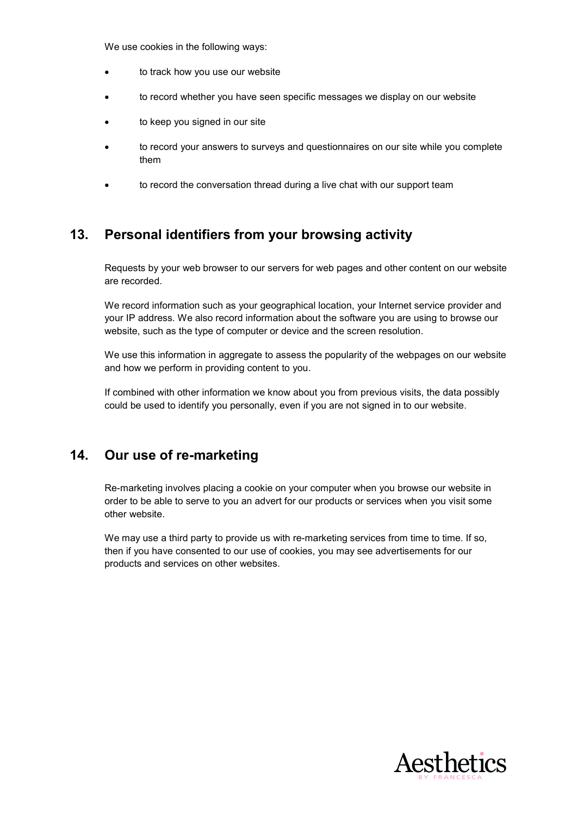We use cookies in the following ways:

- to track how you use our website
- to record whether you have seen specific messages we display on our website
- to keep you signed in our site
- to record your answers to surveys and questionnaires on our site while you complete them
- to record the conversation thread during a live chat with our support team

#### 13. Personal identifiers from your browsing activity

Requests by your web browser to our servers for web pages and other content on our website are recorded.

We record information such as your geographical location, your Internet service provider and your IP address. We also record information about the software you are using to browse our website, such as the type of computer or device and the screen resolution.

We use this information in aggregate to assess the popularity of the webpages on our website and how we perform in providing content to you.

If combined with other information we know about you from previous visits, the data possibly could be used to identify you personally, even if you are not signed in to our website.

#### 14. Our use of re-marketing

Re-marketing involves placing a cookie on your computer when you browse our website in order to be able to serve to you an advert for our products or services when you visit some other website.

We may use a third party to provide us with re-marketing services from time to time. If so, then if you have consented to our use of cookies, you may see advertisements for our products and services on other websites.

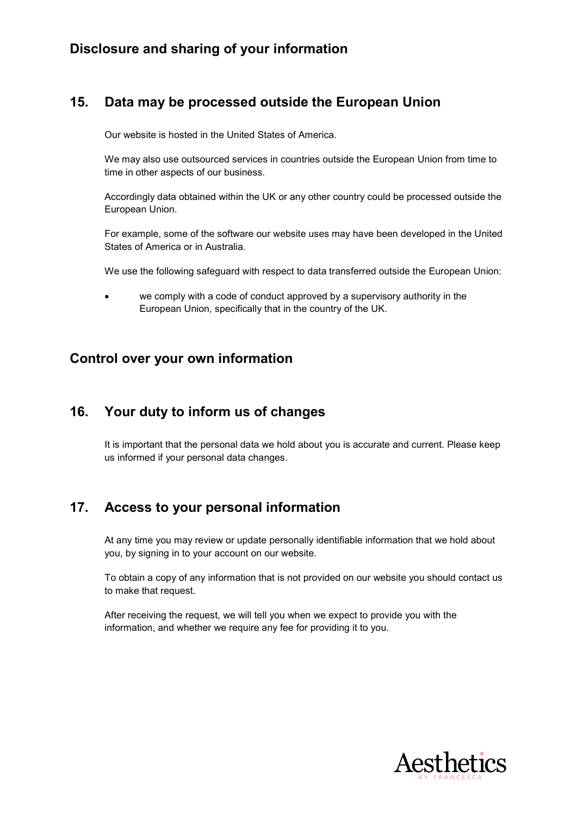## Disclosure and sharing of your information

## 15. Data may be processed outside the European Union

Our website is hosted in the United States of America.

We may also use outsourced services in countries outside the European Union from time to time in other aspects of our business.

Accordingly data obtained within the UK or any other country could be processed outside the European Union.

For example, some of the software our website uses may have been developed in the United States of America or in Australia.

We use the following safeguard with respect to data transferred outside the European Union:

 we comply with a code of conduct approved by a supervisory authority in the European Union, specifically that in the country of the UK.

#### Control over your own information

## 16. Your duty to inform us of changes

It is important that the personal data we hold about you is accurate and current. Please keep us informed if your personal data changes.

# 17. Access to your personal information

At any time you may review or update personally identifiable information that we hold about you, by signing in to your account on our website.

To obtain a copy of any information that is not provided on our website you should contact us to make that request.

After receiving the request, we will tell you when we expect to provide you with the information, and whether we require any fee for providing it to you.

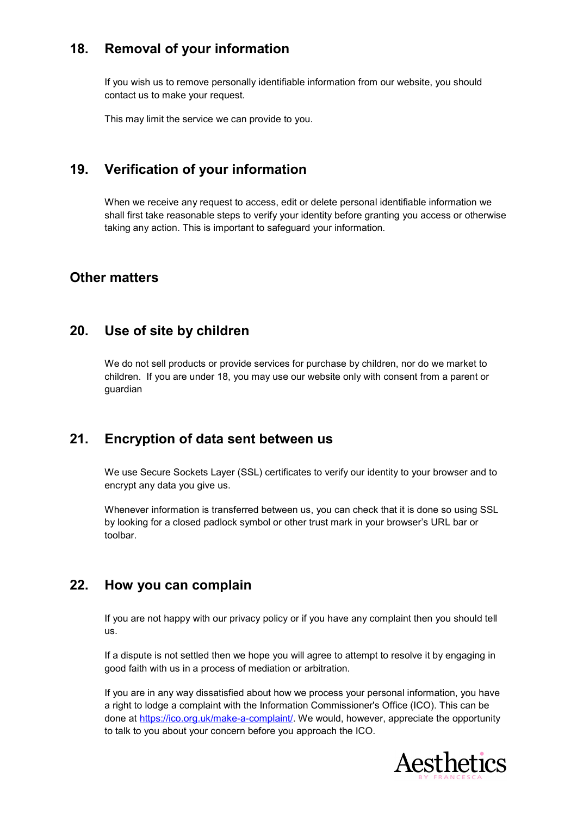## 18. Removal of your information

If you wish us to remove personally identifiable information from our website, you should contact us to make your request.

This may limit the service we can provide to you.

# 19. Verification of your information

When we receive any request to access, edit or delete personal identifiable information we shall first take reasonable steps to verify your identity before granting you access or otherwise taking any action. This is important to safeguard your information.

#### Other matters

#### 20. Use of site by children

We do not sell products or provide services for purchase by children, nor do we market to children. If you are under 18, you may use our website only with consent from a parent or guardian

## 21. Encryption of data sent between us

We use Secure Sockets Layer (SSL) certificates to verify our identity to your browser and to encrypt any data you give us.

Whenever information is transferred between us, you can check that it is done so using SSL by looking for a closed padlock symbol or other trust mark in your browser's URL bar or toolbar.

## 22. How you can complain

If you are not happy with our privacy policy or if you have any complaint then you should tell us.

If a dispute is not settled then we hope you will agree to attempt to resolve it by engaging in good faith with us in a process of mediation or arbitration.

If you are in any way dissatisfied about how we process your personal information, you have a right to lodge a complaint with the Information Commissioner's Office (ICO). This can be done at https://ico.org.uk/make-a-complaint/. We would, however, appreciate the opportunity to talk to you about your concern before you approach the ICO.